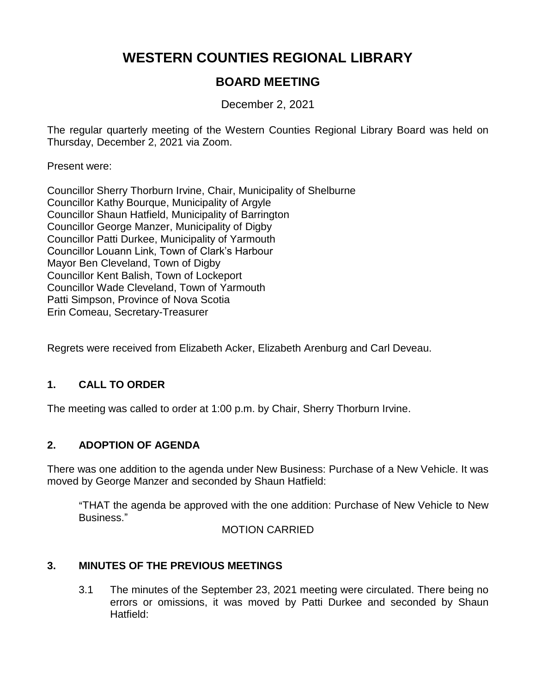# **WESTERN COUNTIES REGIONAL LIBRARY**

## **BOARD MEETING**

December 2, 2021

The regular quarterly meeting of the Western Counties Regional Library Board was held on Thursday, December 2, 2021 via Zoom.

Present were:

Councillor Sherry Thorburn Irvine, Chair, Municipality of Shelburne Councillor Kathy Bourque, Municipality of Argyle Councillor Shaun Hatfield, Municipality of Barrington Councillor George Manzer, Municipality of Digby Councillor Patti Durkee, Municipality of Yarmouth Councillor Louann Link, Town of Clark's Harbour Mayor Ben Cleveland, Town of Digby Councillor Kent Balish, Town of Lockeport Councillor Wade Cleveland, Town of Yarmouth Patti Simpson, Province of Nova Scotia Erin Comeau, Secretary-Treasurer

Regrets were received from Elizabeth Acker, Elizabeth Arenburg and Carl Deveau.

### **1. CALL TO ORDER**

The meeting was called to order at 1:00 p.m. by Chair, Sherry Thorburn Irvine.

### **2. ADOPTION OF AGENDA**

There was one addition to the agenda under New Business: Purchase of a New Vehicle. It was moved by George Manzer and seconded by Shaun Hatfield:

"THAT the agenda be approved with the one addition: Purchase of New Vehicle to New Business."

#### MOTION CARRIED

### **3. MINUTES OF THE PREVIOUS MEETINGS**

3.1 The minutes of the September 23, 2021 meeting were circulated. There being no errors or omissions, it was moved by Patti Durkee and seconded by Shaun Hatfield: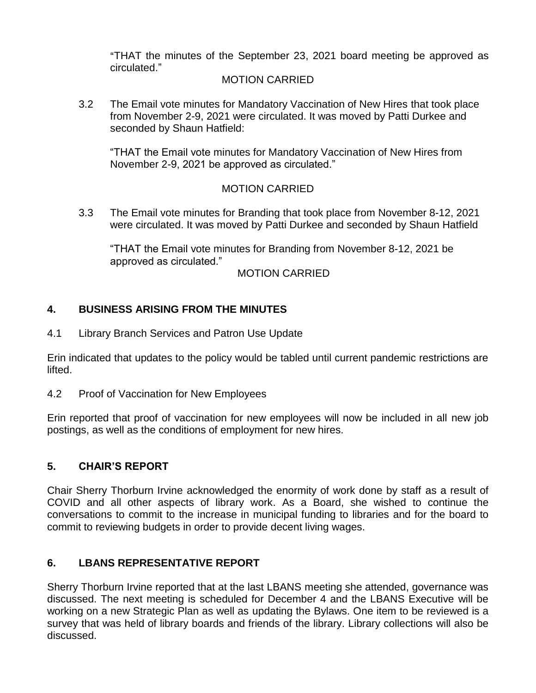"THAT the minutes of the September 23, 2021 board meeting be approved as circulated."

#### MOTION CARRIED

3.2 The Email vote minutes for Mandatory Vaccination of New Hires that took place from November 2-9, 2021 were circulated. It was moved by Patti Durkee and seconded by Shaun Hatfield:

"THAT the Email vote minutes for Mandatory Vaccination of New Hires from November 2-9, 2021 be approved as circulated."

#### MOTION CARRIED

3.3 The Email vote minutes for Branding that took place from November 8-12, 2021 were circulated. It was moved by Patti Durkee and seconded by Shaun Hatfield

"THAT the Email vote minutes for Branding from November 8-12, 2021 be approved as circulated."

#### MOTION CARRIED

#### **4. BUSINESS ARISING FROM THE MINUTES**

4.1 Library Branch Services and Patron Use Update

Erin indicated that updates to the policy would be tabled until current pandemic restrictions are lifted.

4.2 Proof of Vaccination for New Employees

Erin reported that proof of vaccination for new employees will now be included in all new job postings, as well as the conditions of employment for new hires.

### **5. CHAIR'S REPORT**

Chair Sherry Thorburn Irvine acknowledged the enormity of work done by staff as a result of COVID and all other aspects of library work. As a Board, she wished to continue the conversations to commit to the increase in municipal funding to libraries and for the board to commit to reviewing budgets in order to provide decent living wages.

### **6. LBANS REPRESENTATIVE REPORT**

Sherry Thorburn Irvine reported that at the last LBANS meeting she attended, governance was discussed. The next meeting is scheduled for December 4 and the LBANS Executive will be working on a new Strategic Plan as well as updating the Bylaws. One item to be reviewed is a survey that was held of library boards and friends of the library. Library collections will also be discussed.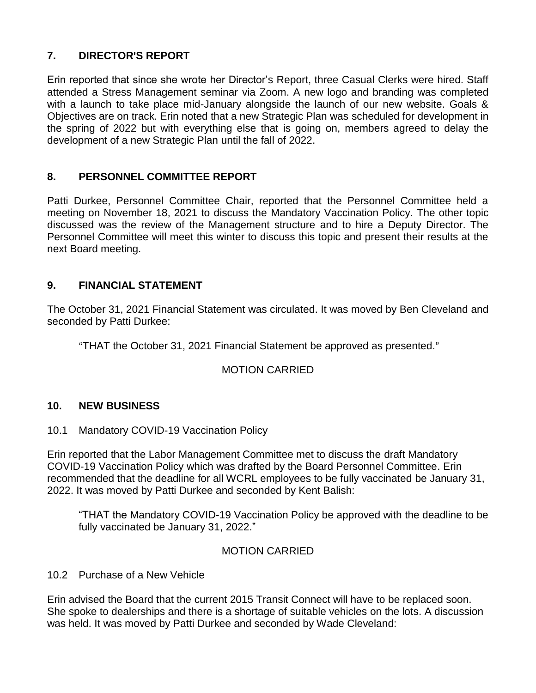### **7. DIRECTOR**=**S REPORT**

Erin reported that since she wrote her Director's Report, three Casual Clerks were hired. Staff attended a Stress Management seminar via Zoom. A new logo and branding was completed with a launch to take place mid-January alongside the launch of our new website. Goals & Objectives are on track. Erin noted that a new Strategic Plan was scheduled for development in the spring of 2022 but with everything else that is going on, members agreed to delay the development of a new Strategic Plan until the fall of 2022.

### **8. PERSONNEL COMMITTEE REPORT**

Patti Durkee, Personnel Committee Chair, reported that the Personnel Committee held a meeting on November 18, 2021 to discuss the Mandatory Vaccination Policy. The other topic discussed was the review of the Management structure and to hire a Deputy Director. The Personnel Committee will meet this winter to discuss this topic and present their results at the next Board meeting.

### **9. FINANCIAL STATEMENT**

The October 31, 2021 Financial Statement was circulated. It was moved by Ben Cleveland and seconded by Patti Durkee:

"THAT the October 31, 2021 Financial Statement be approved as presented."

### MOTION CARRIED

### **10. NEW BUSINESS**

10.1 Mandatory COVID-19 Vaccination Policy

Erin reported that the Labor Management Committee met to discuss the draft Mandatory COVID-19 Vaccination Policy which was drafted by the Board Personnel Committee. Erin recommended that the deadline for all WCRL employees to be fully vaccinated be January 31, 2022. It was moved by Patti Durkee and seconded by Kent Balish:

"THAT the Mandatory COVID-19 Vaccination Policy be approved with the deadline to be fully vaccinated be January 31, 2022."

#### MOTION CARRIED

10.2 Purchase of a New Vehicle

Erin advised the Board that the current 2015 Transit Connect will have to be replaced soon. She spoke to dealerships and there is a shortage of suitable vehicles on the lots. A discussion was held. It was moved by Patti Durkee and seconded by Wade Cleveland: